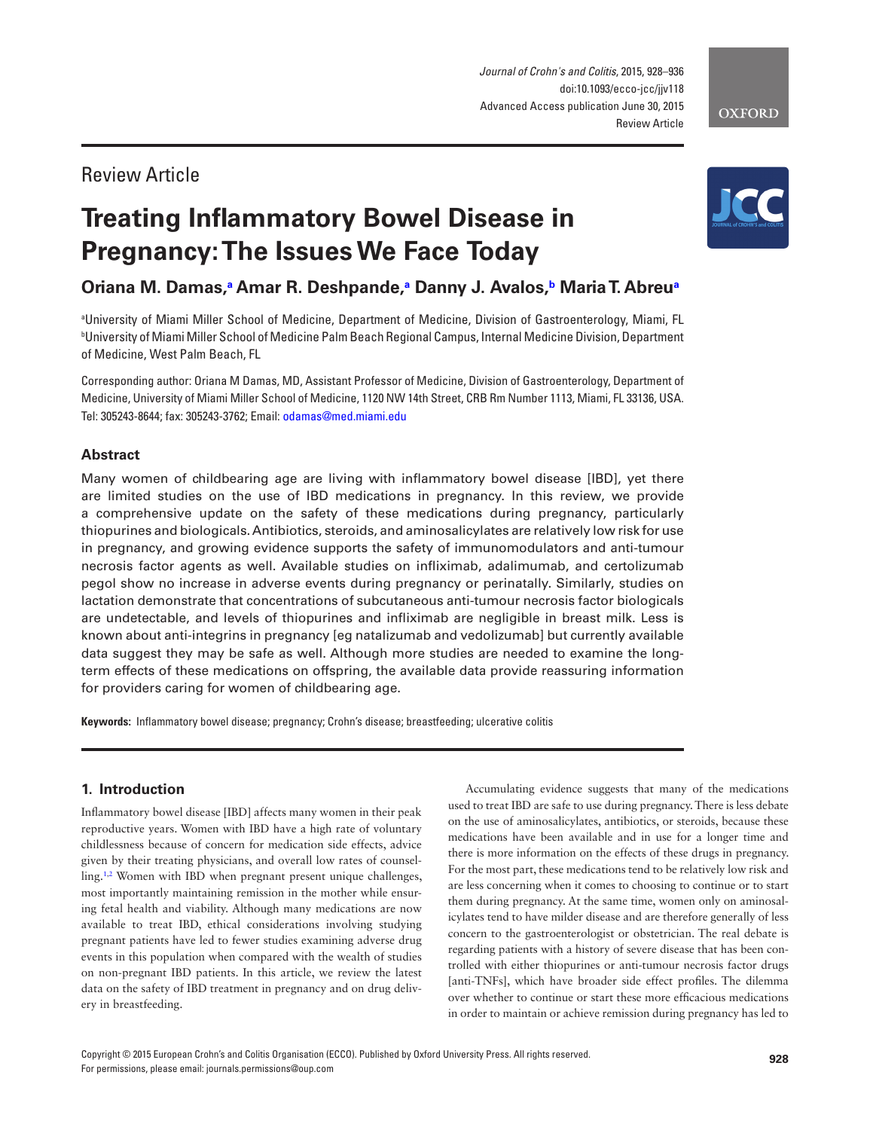*Journal of Crohn's and Colitis*, 2015, 928–936 doi:10.1093/ecco-jcc/jjv118 Advanced Access publication June 30, 2015 Review Article

# Review Article

# **Treating Inflammatory Bowel Disease in Pregnancy: The Issues We Face Today**

# **Oriana M. Damas[,a](#page-0-0) Amar R. Deshpande,[a](#page-0-0) Danny J. Avalos[,b](#page-0-1) Maria T. Abreu[a](#page-0-0)**

<span id="page-0-1"></span><span id="page-0-0"></span>a University of Miami Miller School of Medicine, Department of Medicine, Division of Gastroenterology, Miami, FL b University of Miami Miller School of Medicine Palm Beach Regional Campus, Internal Medicine Division, Department of Medicine, West Palm Beach, FL

Corresponding author: Oriana M Damas, MD, Assistant Professor of Medicine, Division of Gastroenterology, Department of Medicine, University of Miami Miller School of Medicine, 1120 NW 14th Street, CRB Rm Number 1113, Miami, FL 33136, USA. Tel: 305243-8644; fax: 305243-3762; Email: [odamas@med.miami.edu](mailto:odamas@med.miami.edu?subject=)

# **Abstract**

Many women of childbearing age are living with inflammatory bowel disease [IBD], yet there are limited studies on the use of IBD medications in pregnancy. In this review, we provide a comprehensive update on the safety of these medications during pregnancy, particularly thiopurines and biologicals. Antibiotics, steroids, and aminosalicylates are relatively low risk for use in pregnancy, and growing evidence supports the safety of immunomodulators and anti-tumour necrosis factor agents as well. Available studies on infliximab, adalimumab, and certolizumab pegol show no increase in adverse events during pregnancy or perinatally. Similarly, studies on lactation demonstrate that concentrations of subcutaneous anti-tumour necrosis factor biologicals are undetectable, and levels of thiopurines and infliximab are negligible in breast milk. Less is known about anti-integrins in pregnancy [eg natalizumab and vedolizumab] but currently available data suggest they may be safe as well. Although more studies are needed to examine the longterm effects of these medications on offspring, the available data provide reassuring information for providers caring for women of childbearing age.

**Keywords:** Inflammatory bowel disease; pregnancy; Crohn's disease; breastfeeding; ulcerative colitis

## **1. Introduction**

Inflammatory bowel disease [IBD] affects many women in their peak reproductive years. Women with IBD have a high rate of voluntary childlessness because of concern for medication side effects, advice given by their treating physicians, and overall low rates of counsel-ling.<sup>[1,](#page-6-0)[2](#page-6-1)</sup> Women with IBD when pregnant present unique challenges, most importantly maintaining remission in the mother while ensuring fetal health and viability. Although many medications are now available to treat IBD, ethical considerations involving studying pregnant patients have led to fewer studies examining adverse drug events in this population when compared with the wealth of studies on non-pregnant IBD patients. In this article, we review the latest data on the safety of IBD treatment in pregnancy and on drug delivery in breastfeeding.

Accumulating evidence suggests that many of the medications used to treat IBD are safe to use during pregnancy. There is less debate on the use of aminosalicylates, antibiotics, or steroids, because these medications have been available and in use for a longer time and there is more information on the effects of these drugs in pregnancy. For the most part, these medications tend to be relatively low risk and are less concerning when it comes to choosing to continue or to start them during pregnancy. At the same time, women only on aminosalicylates tend to have milder disease and are therefore generally of less concern to the gastroenterologist or obstetrician. The real debate is regarding patients with a history of severe disease that has been controlled with either thiopurines or anti-tumour necrosis factor drugs [anti-TNFs], which have broader side effect profiles. The dilemma over whether to continue or start these more efficacious medications in order to maintain or achieve remission during pregnancy has led to

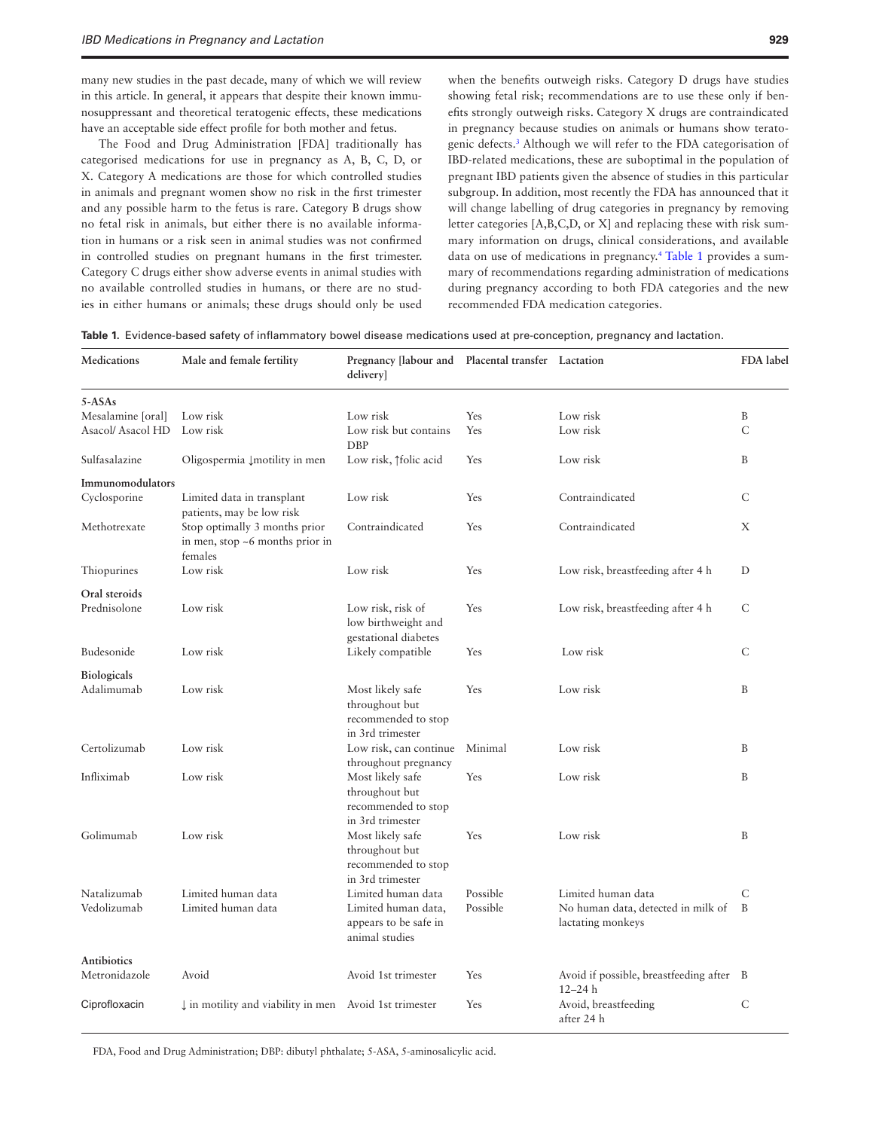many new studies in the past decade, many of which we will review in this article. In general, it appears that despite their known immunosuppressant and theoretical teratogenic effects, these medications have an acceptable side effect profile for both mother and fetus.

The Food and Drug Administration [FDA] traditionally has categorised medications for use in pregnancy as A, B, C, D, or X. Category A medications are those for which controlled studies in animals and pregnant women show no risk in the first trimester and any possible harm to the fetus is rare. Category B drugs show no fetal risk in animals, but either there is no available information in humans or a risk seen in animal studies was not confirmed in controlled studies on pregnant humans in the first trimester. Category C drugs either show adverse events in animal studies with no available controlled studies in humans, or there are no studies in either humans or animals; these drugs should only be used when the benefits outweigh risks. Category D drugs have studies showing fetal risk; recommendations are to use these only if benefits strongly outweigh risks. Category X drugs are contraindicated in pregnancy because studies on animals or humans show teratogenic defects[.3](#page-6-2) Although we will refer to the FDA categorisation of IBD-related medications, these are suboptimal in the population of pregnant IBD patients given the absence of studies in this particular subgroup. In addition, most recently the FDA has announced that it will change labelling of drug categories in pregnancy by removing letter categories [A,B,C,D, or X] and replacing these with risk summary information on drugs, clinical considerations, and available data on use of medications in pregnancy[.4](#page-6-3) [Table 1](#page-1-0) provides a summary of recommendations regarding administration of medications during pregnancy according to both FDA categories and the new recommended FDA medication categories.

<span id="page-1-0"></span>**Table 1.** Evidence-based safety of inflammatory bowel disease medications used at pre-conception, pregnancy and lactation.

| Medications                  | Male and female fertility                                                   | Pregnancy [labour and<br>delivery]                                            | Placental transfer Lactation |                                                         | FDA label    |
|------------------------------|-----------------------------------------------------------------------------|-------------------------------------------------------------------------------|------------------------------|---------------------------------------------------------|--------------|
| $5 - ASAs$                   |                                                                             |                                                                               |                              |                                                         |              |
| Mesalamine [oral]            | Low risk                                                                    | Low risk                                                                      | Yes                          | Low risk                                                | B            |
| Asacol/ Asacol HD            | Low risk                                                                    | Low risk but contains<br><b>DBP</b>                                           | Yes                          | Low risk                                                | $\mathsf{C}$ |
| Sulfasalazine                | Oligospermia Į motility in men                                              | Low risk, 1folic acid                                                         | Yes                          | Low risk                                                | B            |
| Immunomodulators             |                                                                             |                                                                               |                              |                                                         |              |
| Cyclosporine                 | Limited data in transplant<br>patients, may be low risk                     | Low risk                                                                      | Yes                          | Contraindicated                                         | $\mathsf{C}$ |
| Methotrexate                 | Stop optimally 3 months prior<br>in men, stop ~6 months prior in<br>females | Contraindicated                                                               | Yes                          | Contraindicated                                         | Χ            |
| Thiopurines                  | Low risk                                                                    | Low risk                                                                      | Yes                          | Low risk, breastfeeding after 4 h                       | D            |
| Oral steroids                |                                                                             |                                                                               |                              |                                                         |              |
| Prednisolone                 | Low risk                                                                    | Low risk, risk of<br>low birthweight and<br>gestational diabetes              | Yes                          | Low risk, breastfeeding after 4 h                       | $\mathsf{C}$ |
| Budesonide                   | Low risk                                                                    | Likely compatible                                                             | Yes                          | Low risk                                                | C            |
| <b>Biologicals</b>           |                                                                             |                                                                               |                              |                                                         |              |
| Adalimumab                   | Low risk                                                                    | Most likely safe<br>throughout but<br>recommended to stop<br>in 3rd trimester | Yes                          | Low risk                                                | B            |
| Certolizumab                 | Low risk                                                                    | Low risk, can continue<br>throughout pregnancy                                | Minimal                      | Low risk                                                | B            |
| Infliximab                   | Low risk                                                                    | Most likely safe<br>throughout but<br>recommended to stop<br>in 3rd trimester | Yes                          | Low risk                                                | B            |
| Golimumab                    | Low risk                                                                    | Most likely safe<br>throughout but<br>recommended to stop<br>in 3rd trimester | Yes                          | Low risk                                                | B            |
| Natalizumab                  | Limited human data                                                          | Limited human data                                                            | Possible                     | Limited human data                                      | C            |
| Vedolizumab                  | Limited human data                                                          | Limited human data,<br>appears to be safe in<br>animal studies                | Possible                     | No human data, detected in milk of<br>lactating monkeys | B            |
| Antibiotics<br>Metronidazole | Avoid                                                                       | Avoid 1st trimester                                                           | Yes                          | Avoid if possible, breastfeeding after B<br>$12 - 24 h$ |              |
| Ciprofloxacin                | $\downarrow$ in motility and viability in men Avoid 1st trimester           |                                                                               | Yes                          | Avoid, breastfeeding<br>after 24 h                      | $\mathsf{C}$ |

FDA, Food and Drug Administration; DBP: dibutyl phthalate; 5-ASA, 5-aminosalicylic acid.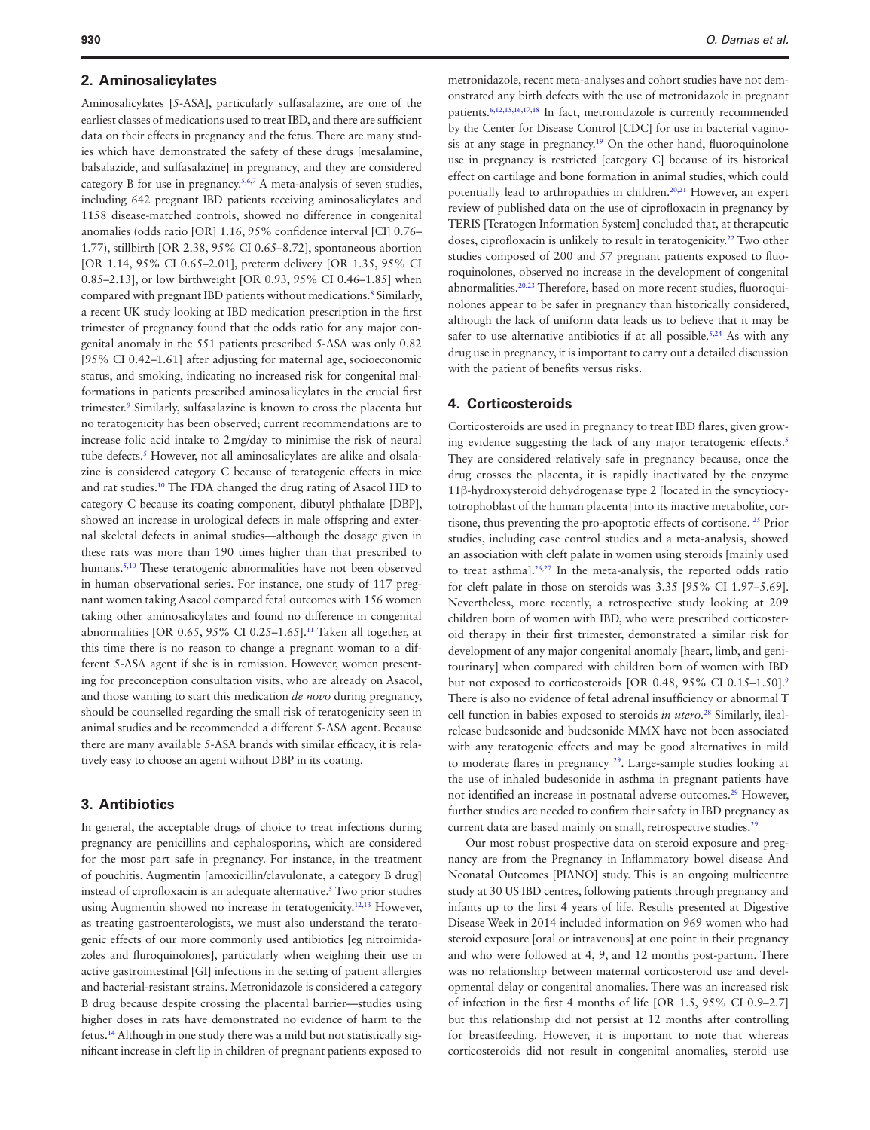#### **2. Aminosalicylates**

Aminosalicylates [5-ASA], particularly sulfasalazine, are one of the earliest classes of medications used to treat IBD, and there are sufficient data on their effects in pregnancy and the fetus. There are many studies which have demonstrated the safety of these drugs [mesalamine, balsalazide, and sulfasalazine] in pregnancy, and they are considered category B for use in pregnancy.<sup>[5](#page-6-4),[6](#page-6-5)[,7](#page-6-6)</sup> A meta-analysis of seven studies, including 642 pregnant IBD patients receiving aminosalicylates and 1158 disease-matched controls, showed no difference in congenital anomalies (odds ratio [OR] 1.16, 95% confidence interval [CI] 0.76– 1.77), stillbirth [OR 2.38, 95% CI 0.65–8.72], spontaneous abortion [OR 1.14, 95% CI 0.65–2.01], preterm delivery [OR 1.35, 95% CI 0.85–2.13], or low birthweight [OR 0.93, 95% CI 0.46–1.85] when compared with pregnant IBD patients without medications[.8](#page-6-7) Similarly, a recent UK study looking at IBD medication prescription in the first trimester of pregnancy found that the odds ratio for any major congenital anomaly in the 551 patients prescribed 5-ASA was only 0.82 [95% CI 0.42–1.61] after adjusting for maternal age, socioeconomic status, and smoking, indicating no increased risk for congenital malformations in patients prescribed aminosalicylates in the crucial first trimester[.9](#page-7-0) Similarly, sulfasalazine is known to cross the placenta but no teratogenicity has been observed; current recommendations are to increase folic acid intake to 2mg/day to minimise the risk of neural tube defects.<sup>5</sup> However, not all aminosalicylates are alike and olsalazine is considered category C because of teratogenic effects in mice and rat studies[.10](#page-7-1) The FDA changed the drug rating of Asacol HD to category C because its coating component, dibutyl phthalate [DBP], showed an increase in urological defects in male offspring and external skeletal defects in animal studies—although the dosage given in these rats was more than 190 times higher than that prescribed to humans.<sup>[5](#page-6-4)[,10](#page-7-1)</sup> These teratogenic abnormalities have not been observed in human observational series. For instance, one study of 117 pregnant women taking Asacol compared fetal outcomes with 156 women taking other aminosalicylates and found no difference in congenital abnormalities [OR 0.65, 95% CI 0.25–1.65].[11](#page-7-2) Taken all together, at this time there is no reason to change a pregnant woman to a different 5-ASA agent if she is in remission. However, women presenting for preconception consultation visits, who are already on Asacol, and those wanting to start this medication *de novo* during pregnancy, should be counselled regarding the small risk of teratogenicity seen in animal studies and be recommended a different 5-ASA agent. Because there are many available 5-ASA brands with similar efficacy, it is relatively easy to choose an agent without DBP in its coating.

#### **3. Antibiotics**

In general, the acceptable drugs of choice to treat infections during pregnancy are penicillins and cephalosporins, which are considered for the most part safe in pregnancy. For instance, in the treatment of pouchitis, Augmentin [amoxicillin/clavulonate, a category B drug] instead of ciprofloxacin is an adequate alternative.[5](#page-6-4) Two prior studies using Augmentin showed no increase in teratogenicity.<sup>12,13</sup> However, as treating gastroenterologists, we must also understand the teratogenic effects of our more commonly used antibiotics [eg nitroimidazoles and fluroquinolones], particularly when weighing their use in active gastrointestinal [GI] infections in the setting of patient allergies and bacterial-resistant strains. Metronidazole is considered a category B drug because despite crossing the placental barrier—studies using higher doses in rats have demonstrated no evidence of harm to the fetus[.14](#page-7-5) Although in one study there was a mild but not statistically significant increase in cleft lip in children of pregnant patients exposed to

metronidazole, recent meta-analyses and cohort studies have not demonstrated any birth defects with the use of metronidazole in pregnant patients[.6](#page-6-5)[,12](#page-7-3),[15,](#page-7-6)[16](#page-7-7)[,17](#page-7-8),[18](#page-7-9) In fact, metronidazole is currently recommended by the Center for Disease Control [CDC] for use in bacterial vaginosis at any stage in pregnancy[.19](#page-7-10) On the other hand, fluoroquinolone use in pregnancy is restricted [category C] because of its historical effect on cartilage and bone formation in animal studies, which could potentially lead to arthropathies in children.<sup>20,21</sup> However, an expert review of published data on the use of ciprofloxacin in pregnancy by TERIS [Teratogen Information System] concluded that, at therapeutic doses, ciprofloxacin is unlikely to result in teratogenicity.[22](#page-7-13) Two other studies composed of 200 and 57 pregnant patients exposed to fluoroquinolones, observed no increase in the development of congenital abnormalities[.20](#page-7-11)[,23](#page-7-14) Therefore, based on more recent studies, fluoroquinolones appear to be safer in pregnancy than historically considered, although the lack of uniform data leads us to believe that it may be safer to use alternative antibiotics if at all possible.<sup>5,24</sup> As with any drug use in pregnancy, it is important to carry out a detailed discussion with the patient of benefits versus risks.

### **4. Corticosteroids**

Corticosteroids are used in pregnancy to treat IBD flares, given growing evidence suggesting the lack of any major teratogenic effects.<sup>5</sup> They are considered relatively safe in pregnancy because, once the drug crosses the placenta, it is rapidly inactivated by the enzyme 11β-hydroxysteroid dehydrogenase type 2 [located in the syncytiocytotrophoblast of the human placenta] into its inactive metabolite, cortisone, thus preventing the pro-apoptotic effects of cortisone. [25](#page-7-16) Prior studies, including case control studies and a meta-analysis, showed an association with cleft palate in women using steroids [mainly used to treat asthma][.26](#page-7-17),[27](#page-7-18) In the meta-analysis, the reported odds ratio for cleft palate in those on steroids was 3.35 [95% CI 1.97–5.69]. Nevertheless, more recently, a retrospective study looking at 209 children born of women with IBD, who were prescribed corticosteroid therapy in their first trimester, demonstrated a similar risk for development of any major congenital anomaly [heart, limb, and genitourinary] when compared with children born of women with IBD but not exposed to corticosteroids [OR 0.48, 95% CI 0.15-1.50][.9](#page-7-0) There is also no evidence of fetal adrenal insufficiency or abnormal T cell function in babies exposed to steroids *in utero.*[28](#page-7-19) Similarly, ilealrelease budesonide and budesonide MMX have not been associated with any teratogenic effects and may be good alternatives in mild to moderate flares in pregnancy [29.](#page-7-20) Large-sample studies looking at the use of inhaled budesonide in asthma in pregnant patients have not identified an increase in postnatal adverse outcomes.<sup>[29](#page-7-20)</sup> However, further studies are needed to confirm their safety in IBD pregnancy as current data are based mainly on small, retrospective studies.<sup>[29](#page-7-20)</sup>

Our most robust prospective data on steroid exposure and pregnancy are from the Pregnancy in Inflammatory bowel disease And Neonatal Outcomes [PIANO] study. This is an ongoing multicentre study at 30 US IBD centres, following patients through pregnancy and infants up to the first 4 years of life. Results presented at Digestive Disease Week in 2014 included information on 969 women who had steroid exposure [oral or intravenous] at one point in their pregnancy and who were followed at 4, 9, and 12 months post-partum. There was no relationship between maternal corticosteroid use and developmental delay or congenital anomalies. There was an increased risk of infection in the first 4 months of life [OR 1.5, 95% CI 0.9–2.7] but this relationship did not persist at 12 months after controlling for breastfeeding. However, it is important to note that whereas corticosteroids did not result in congenital anomalies, steroid use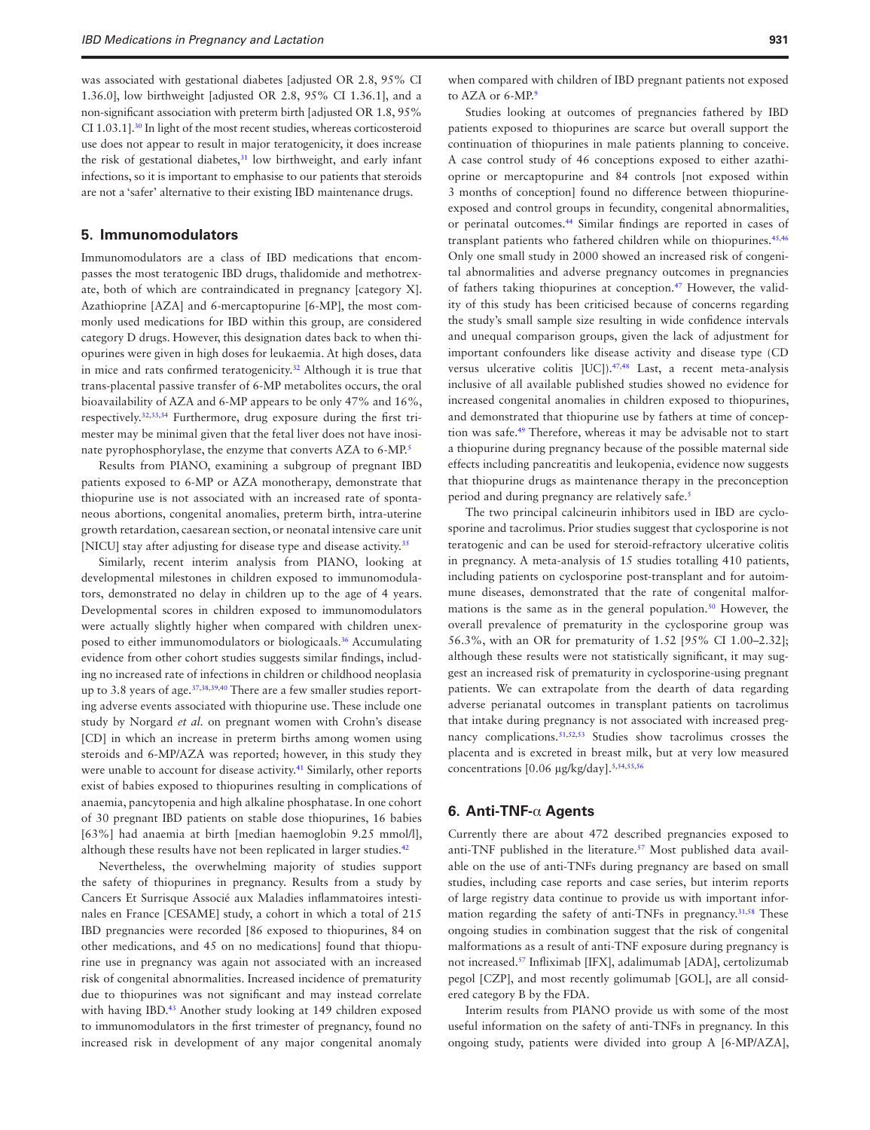was associated with gestational diabetes [adjusted OR 2.8, 95% CI 1.36.0], low birthweight [adjusted OR 2.8, 95% CI 1.36.1], and a non-significant association with preterm birth [adjusted OR 1.8, 95% CI 1.03.1][.30](#page-7-21) In light of the most recent studies, whereas corticosteroid use does not appear to result in major teratogenicity, it does increase the risk of gestational diabetes, $31$  low birthweight, and early infant infections, so it is important to emphasise to our patients that steroids are not a 'safer' alternative to their existing IBD maintenance drugs.

#### **5. Immunomodulators**

Immunomodulators are a class of IBD medications that encompasses the most teratogenic IBD drugs, thalidomide and methotrexate, both of which are contraindicated in pregnancy [category X]. Azathioprine [AZA] and 6-mercaptopurine [6-MP], the most commonly used medications for IBD within this group, are considered category D drugs. However, this designation dates back to when thiopurines were given in high doses for leukaemia. At high doses, data in mice and rats confirmed teratogenicity.<sup>32</sup> Although it is true that trans-placental passive transfer of 6-MP metabolites occurs, the oral bioavailability of AZA and 6-MP appears to be only 47% and 16%, respectively[.32](#page-7-23),[33](#page-7-24)[,34](#page-7-25) Furthermore, drug exposure during the first trimester may be minimal given that the fetal liver does not have inosi-nate pyrophosphorylase, the enzyme that converts AZA to 6-MP.<sup>[5](#page-6-4)</sup>

Results from PIANO, examining a subgroup of pregnant IBD patients exposed to 6-MP or AZA monotherapy, demonstrate that thiopurine use is not associated with an increased rate of spontaneous abortions, congenital anomalies, preterm birth, intra-uterine growth retardation, caesarean section, or neonatal intensive care unit [NICU] stay after adjusting for disease type and disease activity.<sup>[35](#page-7-26)</sup>

Similarly, recent interim analysis from PIANO, looking at developmental milestones in children exposed to immunomodulators, demonstrated no delay in children up to the age of 4 years. Developmental scores in children exposed to immunomodulators were actually slightly higher when compared with children unexposed to either immunomodulators or biologicaals[.36](#page-7-27) Accumulating evidence from other cohort studies suggests similar findings, including no increased rate of infections in children or childhood neoplasia up to 3.8 years of age. $37,38,39,40$  $37,38,39,40$  $37,38,39,40$  $37,38,39,40$  $37,38,39,40$  There are a few smaller studies reporting adverse events associated with thiopurine use. These include one study by Norgard *et al.* on pregnant women with Crohn's disease [CD] in which an increase in preterm births among women using steroids and 6-MP/AZA was reported; however, in this study they were unable to account for disease activity.<sup>41</sup> Similarly, other reports exist of babies exposed to thiopurines resulting in complications of anaemia, pancytopenia and high alkaline phosphatase. In one cohort of 30 pregnant IBD patients on stable dose thiopurines, 16 babies [63%] had anaemia at birth [median haemoglobin 9.25 mmol/l], although these results have not been replicated in larger studies.<sup>[42](#page-7-33)</sup>

Nevertheless, the overwhelming majority of studies support the safety of thiopurines in pregnancy. Results from a study by Cancers Et Surrisque Associé aux Maladies inflammatoires intestinales en France [CESAME] study, a cohort in which a total of 215 IBD pregnancies were recorded [86 exposed to thiopurines, 84 on other medications, and 45 on no medications] found that thiopurine use in pregnancy was again not associated with an increased risk of congenital abnormalities. Increased incidence of prematurity due to thiopurines was not significant and may instead correlate with having IBD.<sup>43</sup> Another study looking at 149 children exposed to immunomodulators in the first trimester of pregnancy, found no increased risk in development of any major congenital anomaly

when compared with children of IBD pregnant patients not exposed to AZA or 6-MP.<sup>[9](#page-7-0)</sup>

Studies looking at outcomes of pregnancies fathered by IBD patients exposed to thiopurines are scarce but overall support the continuation of thiopurines in male patients planning to conceive. A case control study of 46 conceptions exposed to either azathioprine or mercaptopurine and 84 controls [not exposed within 3 months of conception] found no difference between thiopurineexposed and control groups in fecundity, congenital abnormalities, or perinatal outcomes[.44](#page-7-35) Similar findings are reported in cases of transplant patients who fathered children while on thiopurines.<sup>45,[46](#page-7-37)</sup> Only one small study in 2000 showed an increased risk of congenital abnormalities and adverse pregnancy outcomes in pregnancies of fathers taking thiopurines at conception[.47](#page-7-38) However, the validity of this study has been criticised because of concerns regarding the study's small sample size resulting in wide confidence intervals and unequal comparison groups, given the lack of adjustment for important confounders like disease activity and disease type (CD versus ulcerative colitis [UC]).<sup>[47](#page-7-38)[,48](#page-7-39)</sup> Last, a recent meta-analysis inclusive of all available published studies showed no evidence for increased congenital anomalies in children exposed to thiopurines, and demonstrated that thiopurine use by fathers at time of conception was safe.[49](#page-7-40) Therefore, whereas it may be advisable not to start a thiopurine during pregnancy because of the possible maternal side effects including pancreatitis and leukopenia, evidence now suggests that thiopurine drugs as maintenance therapy in the preconception period and during pregnancy are relatively safe.<sup>5</sup>

The two principal calcineurin inhibitors used in IBD are cyclosporine and tacrolimus. Prior studies suggest that cyclosporine is not teratogenic and can be used for steroid-refractory ulcerative colitis in pregnancy. A meta-analysis of 15 studies totalling 410 patients, including patients on cyclosporine post-transplant and for autoimmune diseases, demonstrated that the rate of congenital malformations is the same as in the general population.<sup>50</sup> However, the overall prevalence of prematurity in the cyclosporine group was 56.3%, with an OR for prematurity of 1.52 [95% CI 1.00–2.32]; although these results were not statistically significant, it may suggest an increased risk of prematurity in cyclosporine-using pregnant patients. We can extrapolate from the dearth of data regarding adverse perianatal outcomes in transplant patients on tacrolimus that intake during pregnancy is not associated with increased preg-nancy complications.<sup>[51](#page-7-42)[,52](#page-7-43),53</sup> Studies show tacrolimus crosses the placenta and is excreted in breast milk, but at very low measured concentrations [0.06 μg/kg/day][.5,](#page-6-4)[54](#page-7-45),[55,](#page-7-46)[56](#page-7-47)

#### **6. Anti-TNF-**α **Agents**

Currently there are about 472 described pregnancies exposed to anti-TNF published in the literature.<sup>57</sup> Most published data available on the use of anti-TNFs during pregnancy are based on small studies, including case reports and case series, but interim reports of large registry data continue to provide us with important infor-mation regarding the safety of anti-TNFs in pregnancy.<sup>[31](#page-7-22),58</sup> These ongoing studies in combination suggest that the risk of congenital malformations as a result of anti-TNF exposure during pregnancy is not increased.[57](#page-8-0) Infliximab [IFX], adalimumab [ADA], certolizumab pegol [CZP], and most recently golimumab [GOL], are all considered category B by the FDA.

Interim results from PIANO provide us with some of the most useful information on the safety of anti-TNFs in pregnancy. In this ongoing study, patients were divided into group A [6-MP/AZA],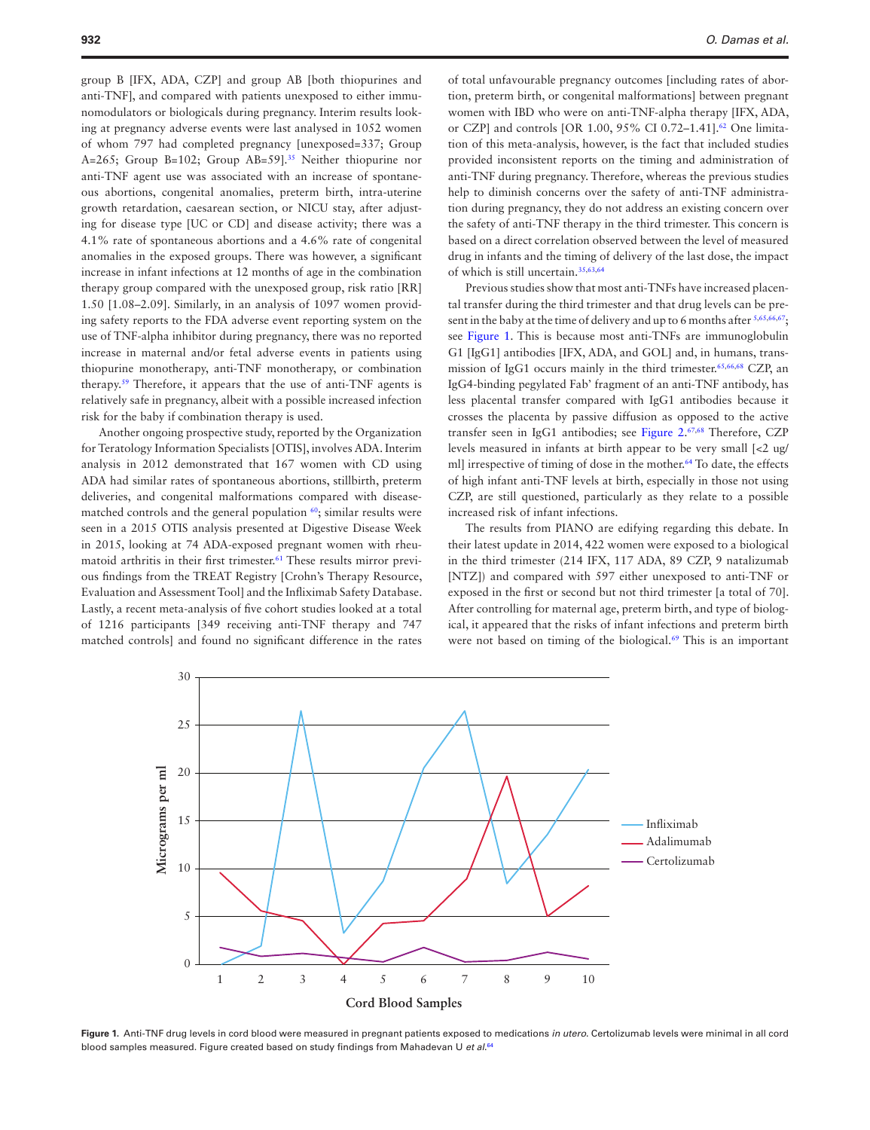group B [IFX, ADA, CZP] and group AB [both thiopurines and anti-TNF], and compared with patients unexposed to either immunomodulators or biologicals during pregnancy. Interim results looking at pregnancy adverse events were last analysed in 1052 women of whom 797 had completed pregnancy [unexposed=337; Group A=265; Group B=102; Group AB=59].<sup>35</sup> Neither thiopurine nor anti-TNF agent use was associated with an increase of spontaneous abortions, congenital anomalies, preterm birth, intra-uterine growth retardation, caesarean section, or NICU stay, after adjusting for disease type [UC or CD] and disease activity; there was a 4.1% rate of spontaneous abortions and a 4.6% rate of congenital anomalies in the exposed groups. There was however, a significant increase in infant infections at 12 months of age in the combination therapy group compared with the unexposed group, risk ratio [RR] 1.50 [1.08–2.09]. Similarly, in an analysis of 1097 women providing safety reports to the FDA adverse event reporting system on the use of TNF-alpha inhibitor during pregnancy, there was no reported increase in maternal and/or fetal adverse events in patients using thiopurine monotherapy, anti-TNF monotherapy, or combination therapy.[59](#page-8-2) Therefore, it appears that the use of anti-TNF agents is relatively safe in pregnancy, albeit with a possible increased infection risk for the baby if combination therapy is used.

Another ongoing prospective study, reported by the Organization for Teratology Information Specialists [OTIS], involves ADA. Interim analysis in 2012 demonstrated that 167 women with CD using ADA had similar rates of spontaneous abortions, stillbirth, preterm deliveries, and congenital malformations compared with diseasematched controls and the general population  $60$ ; similar results were seen in a 2015 OTIS analysis presented at Digestive Disease Week in 2015, looking at 74 ADA-exposed pregnant women with rheumatoid arthritis in their first trimester.<sup>61</sup> These results mirror previous findings from the TREAT Registry [Crohn's Therapy Resource, Evaluation and Assessment Tool] and the Infliximab Safety Database. Lastly, a recent meta-analysis of five cohort studies looked at a total of 1216 participants [349 receiving anti-TNF therapy and 747 matched controls] and found no significant difference in the rates

of total unfavourable pregnancy outcomes [including rates of abortion, preterm birth, or congenital malformations] between pregnant women with IBD who were on anti-TNF-alpha therapy [IFX, ADA, or CZP] and controls [OR 1.00, 95% CI 0.72–1.41][.62](#page-8-5) One limitation of this meta-analysis, however, is the fact that included studies provided inconsistent reports on the timing and administration of anti-TNF during pregnancy. Therefore, whereas the previous studies help to diminish concerns over the safety of anti-TNF administration during pregnancy, they do not address an existing concern over the safety of anti-TNF therapy in the third trimester. This concern is based on a direct correlation observed between the level of measured drug in infants and the timing of delivery of the last dose, the impact of which is still uncertain[.35](#page-7-26),[63,](#page-8-6)[64](#page-8-7)

Previous studies show that most anti-TNFs have increased placental transfer during the third trimester and that drug levels can be pre-sent in the baby at the time of delivery and up to 6 months after [5](#page-6-4)[,65,](#page-8-8)[66](#page-8-9)[,67;](#page-8-10) see [Figure 1.](#page-4-0) This is because most anti-TNFs are immunoglobulin G1 [IgG1] antibodies [IFX, ADA, and GOL] and, in humans, transmission of IgG1 occurs mainly in the third trimester.[65](#page-8-8)[,66](#page-8-9),[68](#page-8-11) CZP, an IgG4-binding pegylated Fab' fragment of an anti-TNF antibody, has less placental transfer compared with IgG1 antibodies because it crosses the placenta by passive diffusion as opposed to the active transfer seen in IgG1 antibodies; see [Figure 2](#page-5-0). [67](#page-8-10),[68](#page-8-11) Therefore, CZP levels measured in infants at birth appear to be very small [<2 ug/ ml] irrespective of timing of dose in the mother.<sup>64</sup> To date, the effects of high infant anti-TNF levels at birth, especially in those not using CZP, are still questioned, particularly as they relate to a possible increased risk of infant infections.

The results from PIANO are edifying regarding this debate. In their latest update in 2014, 422 women were exposed to a biological in the third trimester (214 IFX, 117 ADA, 89 CZP, 9 natalizumab [NTZ]) and compared with 597 either unexposed to anti-TNF or exposed in the first or second but not third trimester [a total of 70]. After controlling for maternal age, preterm birth, and type of biological, it appeared that the risks of infant infections and preterm birth were not based on timing of the biological.<sup>69</sup> This is an important



<span id="page-4-0"></span>**Figure 1.** Anti-TNF drug levels in cord blood were measured in pregnant patients exposed to medications *in utero*. Certolizumab levels were minimal in all cord blood samples measured. Figure created based on study findings from Mahadevan U *et al*. [64](#page-8-7)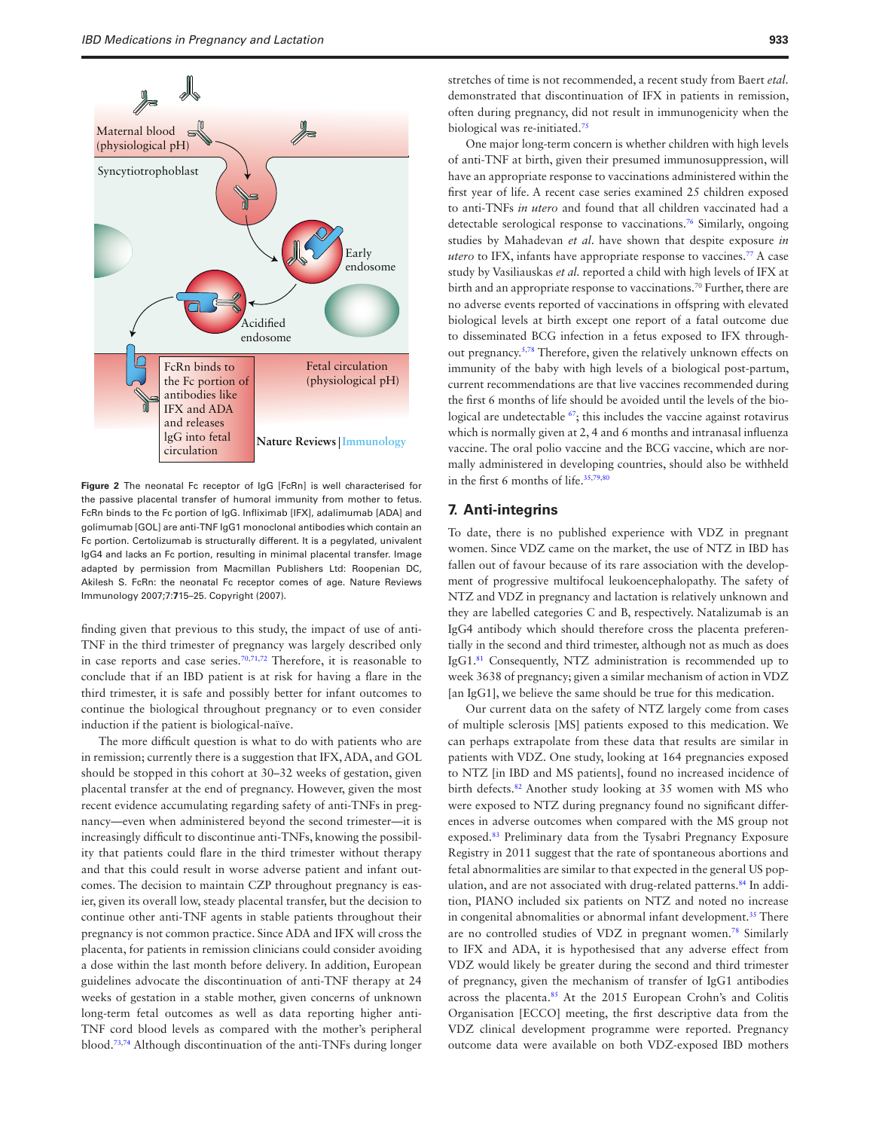

<span id="page-5-0"></span>**Figure 2** The neonatal Fc receptor of IgG [FcRn] is well characterised for the passive placental transfer of humoral immunity from mother to fetus. FcRn binds to the Fc portion of IgG. Infliximab [IFX], adalimumab [ADA] and golimumab [GOL] are anti-TNF IgG1 monoclonal antibodies which contain an Fc portion. Certolizumab is structurally different. It is a pegylated, univalent IgG4 and lacks an Fc portion, resulting in minimal placental transfer. Image adapted by permission from Macmillan Publishers Ltd: Roopenian DC, Akilesh S. FcRn: the neonatal Fc receptor comes of age. Nature Reviews Immunology 2007;7:**7**15–25. Copyright (2007).

finding given that previous to this study, the impact of use of anti-TNF in the third trimester of pregnancy was largely described only in case reports and case series.[70,](#page-8-13)[71](#page-8-14),[72](#page-8-15) Therefore, it is reasonable to conclude that if an IBD patient is at risk for having a flare in the third trimester, it is safe and possibly better for infant outcomes to continue the biological throughout pregnancy or to even consider induction if the patient is biological-naïve.

The more difficult question is what to do with patients who are in remission; currently there is a suggestion that IFX, ADA, and GOL should be stopped in this cohort at 30–32 weeks of gestation, given placental transfer at the end of pregnancy. However, given the most recent evidence accumulating regarding safety of anti-TNFs in pregnancy—even when administered beyond the second trimester—it is increasingly difficult to discontinue anti-TNFs, knowing the possibility that patients could flare in the third trimester without therapy and that this could result in worse adverse patient and infant outcomes. The decision to maintain CZP throughout pregnancy is easier, given its overall low, steady placental transfer, but the decision to continue other anti-TNF agents in stable patients throughout their pregnancy is not common practice. Since ADA and IFX will cross the placenta, for patients in remission clinicians could consider avoiding a dose within the last month before delivery. In addition, European guidelines advocate the discontinuation of anti-TNF therapy at 24 weeks of gestation in a stable mother, given concerns of unknown long-term fetal outcomes as well as data reporting higher anti-TNF cord blood levels as compared with the mother's peripheral blood[.73](#page-8-16),[74](#page-8-17) Although discontinuation of the anti-TNFs during longer

stretches of time is not recommended, a recent study from Baert *etal.* demonstrated that discontinuation of IFX in patients in remission, often during pregnancy, did not result in immunogenicity when the biological was re-initiated[.75](#page-8-18)

One major long-term concern is whether children with high levels of anti-TNF at birth, given their presumed immunosuppression, will have an appropriate response to vaccinations administered within the first year of life. A recent case series examined 25 children exposed to anti-TNFs *in utero* and found that all children vaccinated had a detectable serological response to vaccinations[.76](#page-8-19) Similarly, ongoing studies by Mahadevan *et al*. have shown that despite exposure *in utero* to IFX, infants have appropriate response to vaccines.<sup>77</sup> A case study by Vasiliauskas *et al.* reported a child with high levels of IFX at birth and an appropriate response to vaccinations.<sup>70</sup> Further, there are no adverse events reported of vaccinations in offspring with elevated biological levels at birth except one report of a fatal outcome due to disseminated BCG infection in a fetus exposed to IFX throughout pregnancy[.5](#page-6-4)[,78](#page-8-21) Therefore, given the relatively unknown effects on immunity of the baby with high levels of a biological post-partum, current recommendations are that live vaccines recommended during the first 6 months of life should be avoided until the levels of the biological are undetectable <sup>67</sup>; this includes the vaccine against rotavirus which is normally given at 2, 4 and 6 months and intranasal influenza vaccine. The oral polio vaccine and the BCG vaccine, which are normally administered in developing countries, should also be withheld in the first 6 months of life.<sup>[35](#page-7-26)[,79](#page-8-22),[80](#page-8-23)</sup>

#### **7. Anti-integrins**

To date, there is no published experience with VDZ in pregnant women. Since VDZ came on the market, the use of NTZ in IBD has fallen out of favour because of its rare association with the development of progressive multifocal leukoencephalopathy. The safety of NTZ and VDZ in pregnancy and lactation is relatively unknown and they are labelled categories C and B, respectively. Natalizumab is an IgG4 antibody which should therefore cross the placenta preferentially in the second and third trimester, although not as much as does IgG1[.81](#page-8-24) Consequently, NTZ administration is recommended up to week 3638 of pregnancy; given a similar mechanism of action in VDZ [an IgG1], we believe the same should be true for this medication.

Our current data on the safety of NTZ largely come from cases of multiple sclerosis [MS] patients exposed to this medication. We can perhaps extrapolate from these data that results are similar in patients with VDZ. One study, looking at 164 pregnancies exposed to NTZ [in IBD and MS patients], found no increased incidence of birth defects[.82](#page-8-25) Another study looking at 35 women with MS who were exposed to NTZ during pregnancy found no significant differences in adverse outcomes when compared with the MS group not exposed[.83](#page-8-26) Preliminary data from the Tysabri Pregnancy Exposure Registry in 2011 suggest that the rate of spontaneous abortions and fetal abnormalities are similar to that expected in the general US population, and are not associated with drug-related patterns.<sup>84</sup> In addition, PIANO included six patients on NTZ and noted no increase in congenital abnomalities or abnormal infant development.<sup>35</sup> There are no controlled studies of VDZ in pregnant women.[78](#page-8-21) Similarly to IFX and ADA, it is hypothesised that any adverse effect from VDZ would likely be greater during the second and third trimester of pregnancy, given the mechanism of transfer of IgG1 antibodies across the placenta.<sup>85</sup> At the 2015 European Crohn's and Colitis Organisation [ECCO] meeting, the first descriptive data from the VDZ clinical development programme were reported. Pregnancy outcome data were available on both VDZ-exposed IBD mothers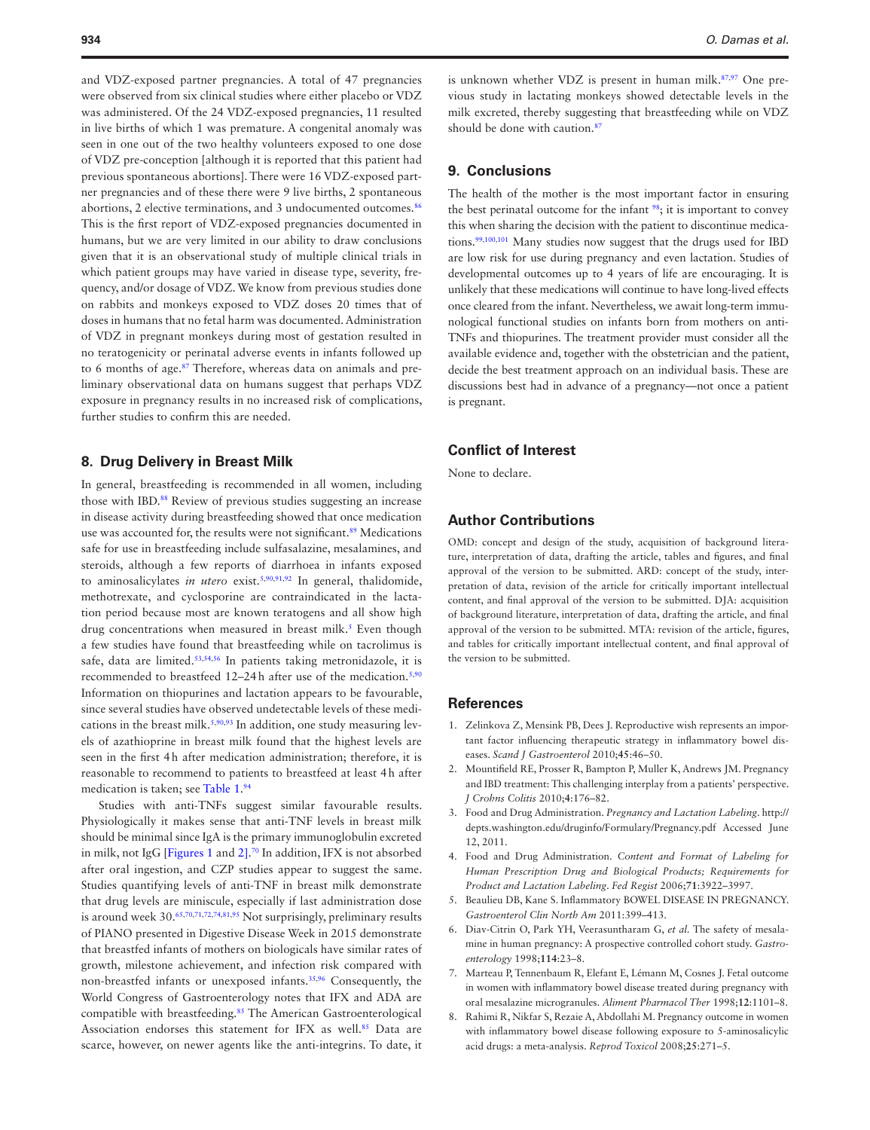and VDZ-exposed partner pregnancies. A total of 47 pregnancies were observed from six clinical studies where either placebo or VDZ was administered. Of the 24 VDZ-exposed pregnancies, 11 resulted in live births of which 1 was premature. A congenital anomaly was seen in one out of the two healthy volunteers exposed to one dose of VDZ pre-conception [although it is reported that this patient had previous spontaneous abortions]. There were 16 VDZ-exposed partner pregnancies and of these there were 9 live births, 2 spontaneous abortions, 2 elective terminations, and 3 undocumented outcomes.<sup>[86](#page-8-29)</sup> This is the first report of VDZ-exposed pregnancies documented in humans, but we are very limited in our ability to draw conclusions given that it is an observational study of multiple clinical trials in which patient groups may have varied in disease type, severity, frequency, and/or dosage of VDZ. We know from previous studies done on rabbits and monkeys exposed to VDZ doses 20 times that of doses in humans that no fetal harm was documented. Administration of VDZ in pregnant monkeys during most of gestation resulted in no teratogenicity or perinatal adverse events in infants followed up to 6 months of age.<sup>[87](#page-8-30)</sup> Therefore, whereas data on animals and preliminary observational data on humans suggest that perhaps VDZ exposure in pregnancy results in no increased risk of complications, further studies to confirm this are needed.

#### **8. Drug Delivery in Breast Milk**

In general, breastfeeding is recommended in all women, including those with IBD.<sup>88</sup> Review of previous studies suggesting an increase in disease activity during breastfeeding showed that once medication use was accounted for, the results were not significant.<sup>89</sup> Medications safe for use in breastfeeding include sulfasalazine, mesalamines, and steroids, although a few reports of diarrhoea in infants exposed to aminosalicylates *in utero* exist.[5](#page-6-4)[,90,](#page-8-33)[91](#page-8-34)[,92](#page-8-35) In general, thalidomide, methotrexate, and cyclosporine are contraindicated in the lactation period because most are known teratogens and all show high drug concentrations when measured in breast milk.<sup>5</sup> Even though a few studies have found that breastfeeding while on tacrolimus is safe, data are limited.<sup>53,[54](#page-7-45),56</sup> In patients taking metronidazole, it is recommended to breastfeed 12-24h after use of the medication.<sup>[5](#page-6-4),[90](#page-8-33)</sup> Information on thiopurines and lactation appears to be favourable, since several studies have observed undetectable levels of these medications in the breast milk. $5,90,93$  $5,90,93$  $5,90,93$  $5,90,93$  In addition, one study measuring levels of azathioprine in breast milk found that the highest levels are seen in the first 4h after medication administration; therefore, it is reasonable to recommend to patients to breastfeed at least 4h after medication is taken; see [Table 1](#page-1-0). [94](#page-8-37)

Studies with anti-TNFs suggest similar favourable results. Physiologically it makes sense that anti-TNF levels in breast milk should be minimal since IgA is the primary immunoglobulin excreted in milk, not IgG [\[Figures 1](#page-4-0) and [2\].](#page-5-0) [70](#page-8-13) In addition, IFX is not absorbed after oral ingestion, and CZP studies appear to suggest the same. Studies quantifying levels of anti-TNF in breast milk demonstrate that drug levels are miniscule, especially if last administration dose is around week 30.<sup>[65,](#page-8-8)[70](#page-8-13),[71,](#page-8-14)[72](#page-8-15)[,74,](#page-8-17)[81](#page-8-24),95</sup> Not surprisingly, preliminary results of PIANO presented in Digestive Disease Week in 2015 demonstrate that breastfed infants of mothers on biologicals have similar rates of growth, milestone achievement, and infection risk compared with non-breastfed infants or unexposed infants.[35](#page-7-26)[,96](#page-8-39) Consequently, the World Congress of Gastroenterology notes that IFX and ADA are compatible with breastfeeding.<sup>85</sup> The American Gastroenterological Association endorses this statement for IFX as well.<sup>85</sup> Data are scarce, however, on newer agents like the anti-integrins. To date, it

is unknown whether VDZ is present in human milk.<sup>87,[97](#page-8-40)</sup> One previous study in lactating monkeys showed detectable levels in the milk excreted, thereby suggesting that breastfeeding while on VDZ should be done with caution.<sup>87</sup>

#### **9. Conclusions**

The health of the mother is the most important factor in ensuring the best perinatal outcome for the infant <sup>[98](#page-8-41)</sup>; it is important to convey this when sharing the decision with the patient to discontinue medica-tions.<sup>99,[100](#page-8-43),[101](#page-8-44)</sup> Many studies now suggest that the drugs used for IBD are low risk for use during pregnancy and even lactation. Studies of developmental outcomes up to 4 years of life are encouraging. It is unlikely that these medications will continue to have long-lived effects once cleared from the infant. Nevertheless, we await long-term immunological functional studies on infants born from mothers on anti-TNFs and thiopurines. The treatment provider must consider all the available evidence and, together with the obstetrician and the patient, decide the best treatment approach on an individual basis. These are discussions best had in advance of a pregnancy—not once a patient is pregnant.

#### **Conflict of Interest**

None to declare.

## **Author Contributions**

OMD: concept and design of the study, acquisition of background literature, interpretation of data, drafting the article, tables and figures, and final approval of the version to be submitted. ARD: concept of the study, interpretation of data, revision of the article for critically important intellectual content, and final approval of the version to be submitted. DJA: acquisition of background literature, interpretation of data, drafting the article, and final approval of the version to be submitted. MTA: revision of the article, figures, and tables for critically important intellectual content, and final approval of the version to be submitted.

#### **References**

- <span id="page-6-0"></span>1. Zelinkova Z, Mensink PB, Dees J. Reproductive wish represents an important factor influencing therapeutic strategy in inflammatory bowel diseases. *Scand J Gastroenterol* 2010;**45**:46–50.
- <span id="page-6-1"></span>2. Mountifield RE, Prosser R, Bampton P, Muller K, Andrews JM. Pregnancy and IBD treatment: This challenging interplay from a patients' perspective. *J Crohns Colitis* 2010;**4**:176–82.
- <span id="page-6-2"></span>3. Food and Drug Administration. *Pregnancy and Lactation Labeling*. http:// depts.washington.edu/druginfo/Formulary/Pregnancy.pdf Accessed June 12, 2011.
- <span id="page-6-3"></span>4. Food and Drug Administration. *Content and Format of Labeling for Human Prescription Drug and Biological Products; Requirements for Product and Lactation Labeling*. *Fed Regist* 2006;**71**:3922–3997.
- <span id="page-6-4"></span>5. Beaulieu DB, Kane S. Inflammatory BOWEL DISEASE IN PREGNANCY. *Gastroenterol Clin North Am* 2011:399–413.
- <span id="page-6-5"></span>6. Diav-Citrin O, Park YH, Veerasuntharam G, *et al.* The safety of mesalamine in human pregnancy: A prospective controlled cohort study. *Gastroenterology* 1998;**114**:23–8.
- <span id="page-6-6"></span>7. Marteau P, Tennenbaum R, Elefant E, Lémann M, Cosnes J. Fetal outcome in women with inflammatory bowel disease treated during pregnancy with oral mesalazine microgranules. *Aliment Pharmacol Ther* 1998;**12**:1101–8.
- <span id="page-6-7"></span>8. Rahimi R, Nikfar S, Rezaie A, Abdollahi M. Pregnancy outcome in women with inflammatory bowel disease following exposure to 5-aminosalicylic acid drugs: a meta-analysis. *Reprod Toxicol* 2008;**25**:271–5.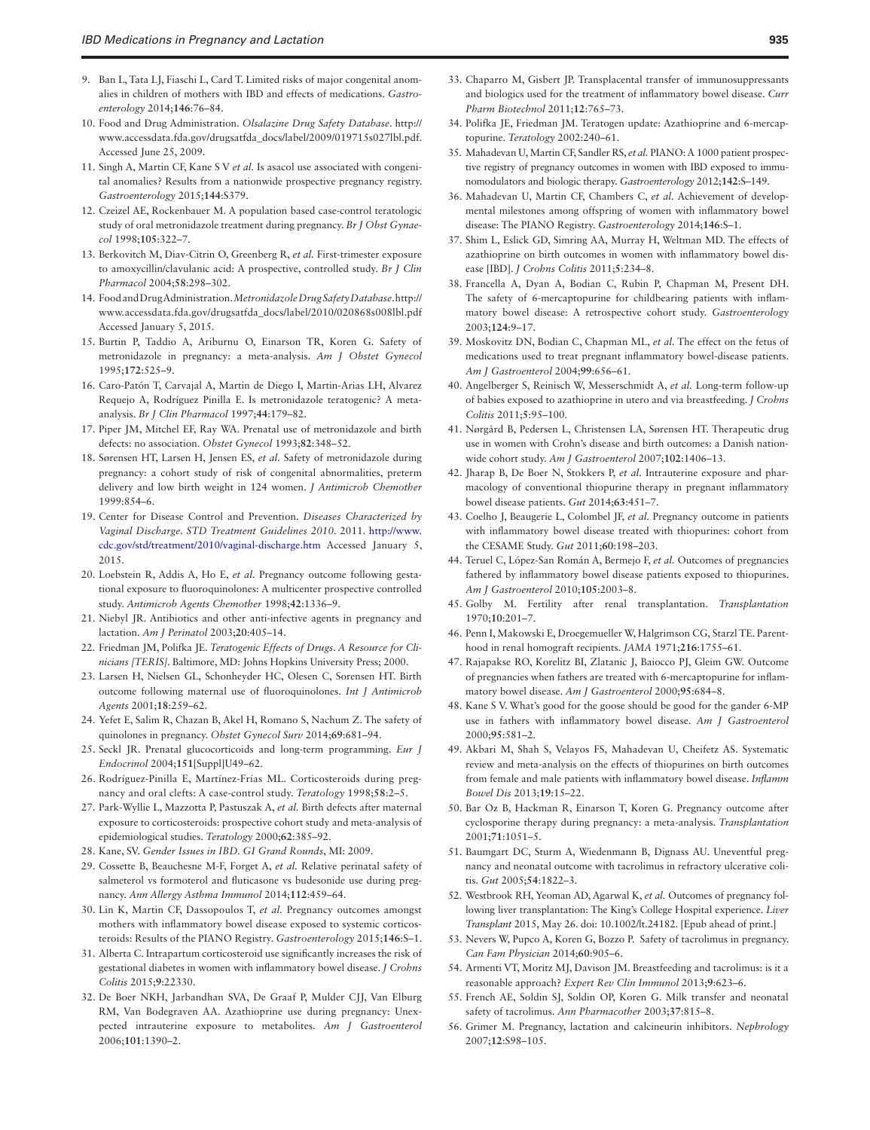- <span id="page-7-0"></span>9. Ban L, Tata LJ, Fiaschi L, Card T. Limited risks of major congenital anomalies in children of mothers with IBD and effects of medications. *Gastroenterology* 2014;**146**:76–84.
- <span id="page-7-1"></span>10. Food and Drug Administration. *Olsalazine Drug Safety Database*. http:// www.accessdata.fda.gov/drugsatfda\_docs/label/2009/019715s027lbl.pdf. Accessed June 25, 2009.
- <span id="page-7-2"></span>11. Singh A, Martin CF, Kane S V *et al.* Is asacol use associated with congenital anomalies? Results from a nationwide prospective pregnancy registry. *Gastroenterology* 2015;**144**:S379.
- <span id="page-7-3"></span>12. Czeizel AE, Rockenbauer M. A population based case-control teratologic study of oral metronidazole treatment during pregnancy. *Br J Obst Gynaecol* 1998;**105**:322–7.
- <span id="page-7-4"></span>13. Berkovitch M, Diav-Citrin O, Greenberg R, *et al.* First-trimester exposure to amoxycillin/clavulanic acid: A prospective, controlled study. *Br J Clin Pharmacol* 2004;**58**:298–302.
- <span id="page-7-5"></span>14. Food and Drug Administration. *Metronidazole Drug Safety Database*. http:// www.accessdata.fda.gov/drugsatfda\_docs/label/2010/020868s008lbl.pdf Accessed January 5, 2015.
- <span id="page-7-6"></span>15. Burtin P, Taddio A, Ariburnu O, Einarson TR, Koren G. Safety of metronidazole in pregnancy: a meta-analysis. *Am J Obstet Gynecol* 1995;**172**:525–9.
- <span id="page-7-7"></span>16. Caro-Patón T, Carvajal A, Martin de Diego I, Martin-Arias LH, Alvarez Requejo A, Rodríguez Pinilla E. Is metronidazole teratogenic? A metaanalysis. *Br J Clin Pharmacol* 1997;**44**:179–82.
- <span id="page-7-8"></span>17. Piper JM, Mitchel EF, Ray WA. Prenatal use of metronidazole and birth defects: no association. *Obstet Gynecol* 1993;**82**:348–52.
- <span id="page-7-9"></span>18. Sørensen HT, Larsen H, Jensen ES, *et al.* Safety of metronidazole during pregnancy: a cohort study of risk of congenital abnormalities, preterm delivery and low birth weight in 124 women. *J Antimicrob Chemother* 1999:854–6.
- <span id="page-7-10"></span>19. Center for Disease Control and Prevention. *Diseases Characterized by Vaginal Discharge. STD Treatment Guidelines 2010*. 2011. [http://www.](http://www.cdc.gov/std/treatment/2010/vaginal-discharge.htm) [cdc.gov/std/treatment/2010/vaginal-discharge.htm](http://www.cdc.gov/std/treatment/2010/vaginal-discharge.htm) Accessed January 5, 2015.
- <span id="page-7-11"></span>20. Loebstein R, Addis A, Ho E, *et al.* Pregnancy outcome following gestational exposure to fluoroquinolones: A multicenter prospective controlled study. *Antimicrob Agents Chemother* 1998;**42**:1336–9.
- <span id="page-7-12"></span>21. Niebyl JR. Antibiotics and other anti-infective agents in pregnancy and lactation. *Am J Perinatol* 2003;**20**:405–14.
- <span id="page-7-13"></span>22. Friedman JM, Polifka JE. *Teratogenic Effects of Drugs. A Resource for Clinicians [TERIS]*. Baltimore, MD: Johns Hopkins University Press; 2000.
- <span id="page-7-14"></span>23. Larsen H, Nielsen GL, Schonheyder HC, Olesen C, Sorensen HT. Birth outcome following maternal use of fluoroquinolones. *Int J Antimicrob Agents* 2001;**18**:259–62.
- <span id="page-7-15"></span>24. Yefet E, Salim R, Chazan B, Akel H, Romano S, Nachum Z. The safety of quinolones in pregnancy. *Obstet Gynecol Surv* 2014;**69**:681–94.
- <span id="page-7-16"></span>25. Seckl JR. Prenatal glucocorticoids and long-term programming. *Eur J Endocrinol* 2004;**151**[Suppl]U49–62.
- <span id="page-7-17"></span>26. Rodríguez-Pinilla E, Martínez-Frías ML. Corticosteroids during pregnancy and oral clefts: A case-control study. *Teratology* 1998;**58**:2–5.
- <span id="page-7-18"></span>27. Park-Wyllie L, Mazzotta P, Pastuszak A, *et al.* Birth defects after maternal exposure to corticosteroids: prospective cohort study and meta-analysis of epidemiological studies. *Teratology* 2000;**62**:385–92.
- <span id="page-7-19"></span>28. Kane, SV. *Gender Issues in IBD. GI Grand Rounds*, MI: 2009.
- <span id="page-7-20"></span>29. Cossette B, Beauchesne M-F, Forget A, *et al.* Relative perinatal safety of salmeterol vs formoterol and fluticasone vs budesonide use during pregnancy. *Ann Allergy Asthma Immunol* 2014;**112**:459–64.
- <span id="page-7-21"></span>30. Lin K, Martin CF, Dassopoulos T, *et al.* Pregnancy outcomes amongst mothers with inflammatory bowel disease exposed to systemic corticosteroids: Results of the PIANO Registry. *Gastroenterology* 2015;**146**:S–1.
- <span id="page-7-22"></span>31. Alberta C. Intrapartum corticosteroid use significantly increases the risk of gestational diabetes in women with inflammatory bowel disease. *J Crohns Colitis* 2015;**9**:22330.
- <span id="page-7-23"></span>32. De Boer NKH, Jarbandhan SVA, De Graaf P, Mulder CJJ, Van Elburg RM, Van Bodegraven AA. Azathioprine use during pregnancy: Unexpected intrauterine exposure to metabolites. *Am J Gastroenterol* 2006;**101**:1390–2.
- <span id="page-7-24"></span>33. Chaparro M, Gisbert JP. Transplacental transfer of immunosuppressants and biologics used for the treatment of inflammatory bowel disease. *Curr Pharm Biotechnol* 2011;**12**:765–73.
- <span id="page-7-25"></span>34. Polifka JE, Friedman JM. Teratogen update: Azathioprine and 6-mercaptopurine. *Teratology* 2002:240–61.
- <span id="page-7-26"></span>35. Mahadevan U, Martin CF, Sandler RS, *et al.* PIANO: A 1000 patient prospective registry of pregnancy outcomes in women with IBD exposed to immunomodulators and biologic therapy. *Gastroenterology* 2012;**142**:S–149.
- <span id="page-7-27"></span>36. Mahadevan U, Martin CF, Chambers C, *et al.* Achievement of developmental milestones among offspring of women with inflammatory bowel disease: The PIANO Registry. *Gastroenterology* 2014;**146**:S–1.
- <span id="page-7-28"></span>37. Shim L, Eslick GD, Simring AA, Murray H, Weltman MD. The effects of azathioprine on birth outcomes in women with inflammatory bowel disease [IBD]. *J Crohns Colitis* 2011;**5**:234–8.
- <span id="page-7-29"></span>38. Francella A, Dyan A, Bodian C, Rubin P, Chapman M, Present DH. The safety of 6-mercaptopurine for childbearing patients with inflammatory bowel disease: A retrospective cohort study. *Gastroenterology* 2003;**124**:9–17.
- <span id="page-7-30"></span>39. Moskovitz DN, Bodian C, Chapman ML, *et al.* The effect on the fetus of medications used to treat pregnant inflammatory bowel-disease patients. *Am J Gastroenterol* 2004;**99**:656–61.
- <span id="page-7-31"></span>40. Angelberger S, Reinisch W, Messerschmidt A, *et al.* Long-term follow-up of babies exposed to azathioprine in utero and via breastfeeding. *J Crohns Colitis* 2011;**5**:95–100.
- <span id="page-7-32"></span>41. Nørgård B, Pedersen L, Christensen LA, Sørensen HT. Therapeutic drug use in women with Crohn's disease and birth outcomes: a Danish nationwide cohort study. *Am J Gastroenterol* 2007;**102**:1406–13.
- <span id="page-7-33"></span>42. Jharap B, De Boer N, Stokkers P, *et al.* Intrauterine exposure and pharmacology of conventional thiopurine therapy in pregnant inflammatory bowel disease patients. *Gut* 2014;**63**:451–7.
- <span id="page-7-34"></span>43. Coelho J, Beaugerie L, Colombel JF, *et al.* Pregnancy outcome in patients with inflammatory bowel disease treated with thiopurines: cohort from the CESAME Study. *Gut* 2011;**60**:198–203.
- <span id="page-7-35"></span>44. Teruel C, López-San Román A, Bermejo F, *et al.* Outcomes of pregnancies fathered by inflammatory bowel disease patients exposed to thiopurines. *Am J Gastroenterol* 2010;**105**:2003–8.
- <span id="page-7-36"></span>45. Golby M. Fertility after renal transplantation. *Transplantation* 1970;**10**:201–7.
- <span id="page-7-37"></span>46. Penn I, Makowski E, Droegemueller W, Halgrimson CG, Starzl TE. Parenthood in renal homograft recipients. *JAMA* 1971;**216**:1755–61.
- <span id="page-7-38"></span>47. Rajapakse RO, Korelitz BI, Zlatanic J, Baiocco PJ, Gleim GW. Outcome of pregnancies when fathers are treated with 6-mercaptopurine for inflammatory bowel disease. *Am J Gastroenterol* 2000;**95**:684–8.
- <span id="page-7-39"></span>48. Kane S V. What's good for the goose should be good for the gander 6-MP use in fathers with inflammatory bowel disease. *Am J Gastroenterol* 2000;**95**:581–2.
- <span id="page-7-40"></span>49. Akbari M, Shah S, Velayos FS, Mahadevan U, Cheifetz AS. Systematic review and meta-analysis on the effects of thiopurines on birth outcomes from female and male patients with inflammatory bowel disease. *Inflamm Bowel Dis* 2013;**19**:15–22.
- <span id="page-7-41"></span>50. Bar Oz B, Hackman R, Einarson T, Koren G. Pregnancy outcome after cyclosporine therapy during pregnancy: a meta-analysis. *Transplantation* 2001;**71**:1051–5.
- <span id="page-7-42"></span>51. Baumgart DC, Sturm A, Wiedenmann B, Dignass AU. Uneventful pregnancy and neonatal outcome with tacrolimus in refractory ulcerative colitis. *Gut* 2005;**54**:1822–3.
- <span id="page-7-43"></span>52. Westbrook RH, Yeoman AD, Agarwal K, *et al.* Outcomes of pregnancy following liver transplantation: The King's College Hospital experience. *Liver Transplant* 2015, May 26. doi: 10.1002/lt.24182. [Epub ahead of print.]
- <span id="page-7-44"></span>53. Nevers W, Pupco A, Koren G, Bozzo P. Safety of tacrolimus in pregnancy. *Can Fam Physician* 2014;**60**:905–6.
- <span id="page-7-45"></span>54. Armenti VT, Moritz MJ, Davison JM. Breastfeeding and tacrolimus: is it a reasonable approach? *Expert Rev Clin Immunol* 2013;**9**:623–6.
- <span id="page-7-46"></span>55. French AE, Soldin SJ, Soldin OP, Koren G. Milk transfer and neonatal safety of tacrolimus. *Ann Pharmacother* 2003;**37**:815–8.
- <span id="page-7-47"></span>56. Grimer M. Pregnancy, lactation and calcineurin inhibitors. *Nephrology* 2007;**12**:S98–105.